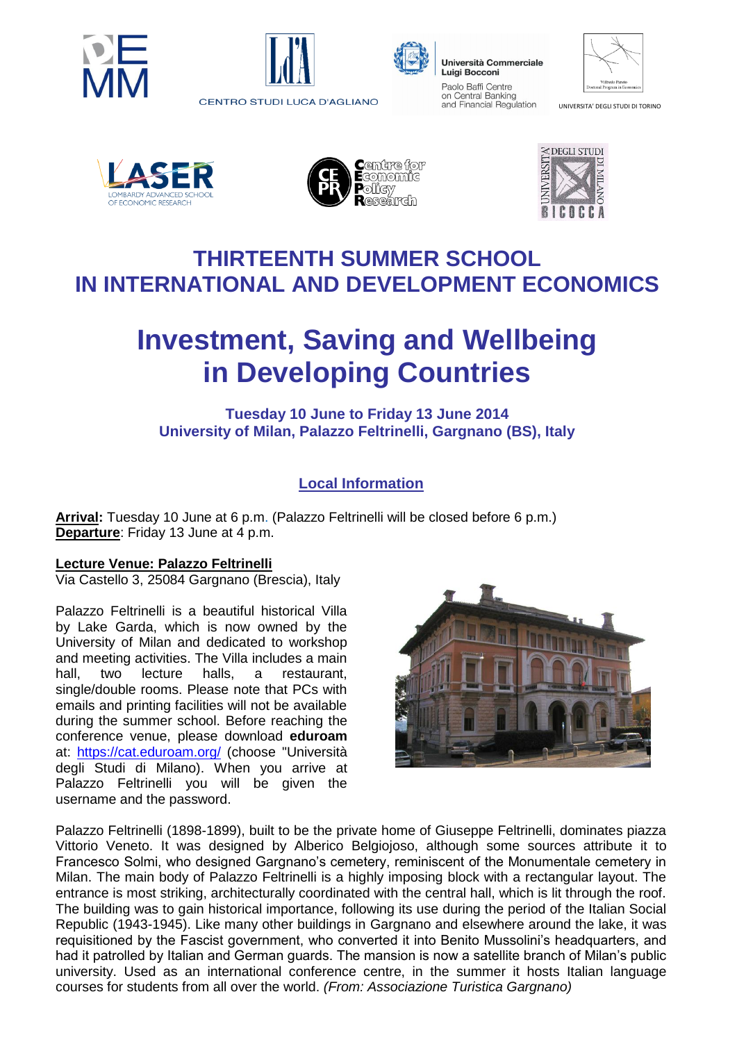





Università Commerciale Luigi Bocconi Paolo Baffi Centre on Central Banking and Financial Regulation

| Vilfredo Pareto<br>Doctoral Program in Economics |
|--------------------------------------------------|

UNIVERSITA' DEGLI STUDI DI TORINO







## **THIRTEENTH SUMMER SCHOOL IN INTERNATIONAL AND DEVELOPMENT ECONOMICS**

# **Investment, Saving and Wellbeing in Developing Countries**

#### **Tuesday 10 June to Friday 13 June 2014 University of Milan, Palazzo Feltrinelli, Gargnano (BS), Italy**

### **Local Information**

**Arrival:** Tuesday 10 June at 6 p.m. (Palazzo Feltrinelli will be closed before 6 p.m.) **Departure**: Friday 13 June at 4 p.m.

#### **Lecture Venue: Palazzo Feltrinelli**

Via Castello 3, 25084 Gargnano (Brescia), Italy

Palazzo Feltrinelli is a beautiful historical Villa by Lake Garda, which is now owned by the University of Milan and dedicated to workshop and meeting activities. The Villa includes a main hall, two lecture halls, a restaurant, single/double rooms. Please note that PCs with emails and printing facilities will not be available during the summer school. Before reaching the conference venue, please download **eduroam** at: <https://cat.eduroam.org/> (choose "Università degli Studi di Milano). When you arrive at Palazzo Feltrinelli you will be given the username and the password.



Palazzo Feltrinelli (1898-1899), built to be the private home of Giuseppe Feltrinelli, dominates piazza Vittorio Veneto. It was designed by Alberico Belgiojoso, although some sources attribute it to Francesco Solmi, who designed Gargnano's cemetery, reminiscent of the Monumentale cemetery in Milan. The main body of Palazzo Feltrinelli is a highly imposing block with a rectangular layout. The entrance is most striking, architecturally coordinated with the central hall, which is lit through the roof. The building was to gain historical importance, following its use during the period of the Italian Social Republic (1943-1945). Like many other buildings in Gargnano and elsewhere around the lake, it was requisitioned by the Fascist government, who converted it into Benito Mussolini's headquarters, and had it patrolled by Italian and German guards. The mansion is now a satellite branch of Milan's public university. Used as an international conference centre, in the summer it hosts Italian language courses for students from all over the world. *(From: Associazione Turistica Gargnano)*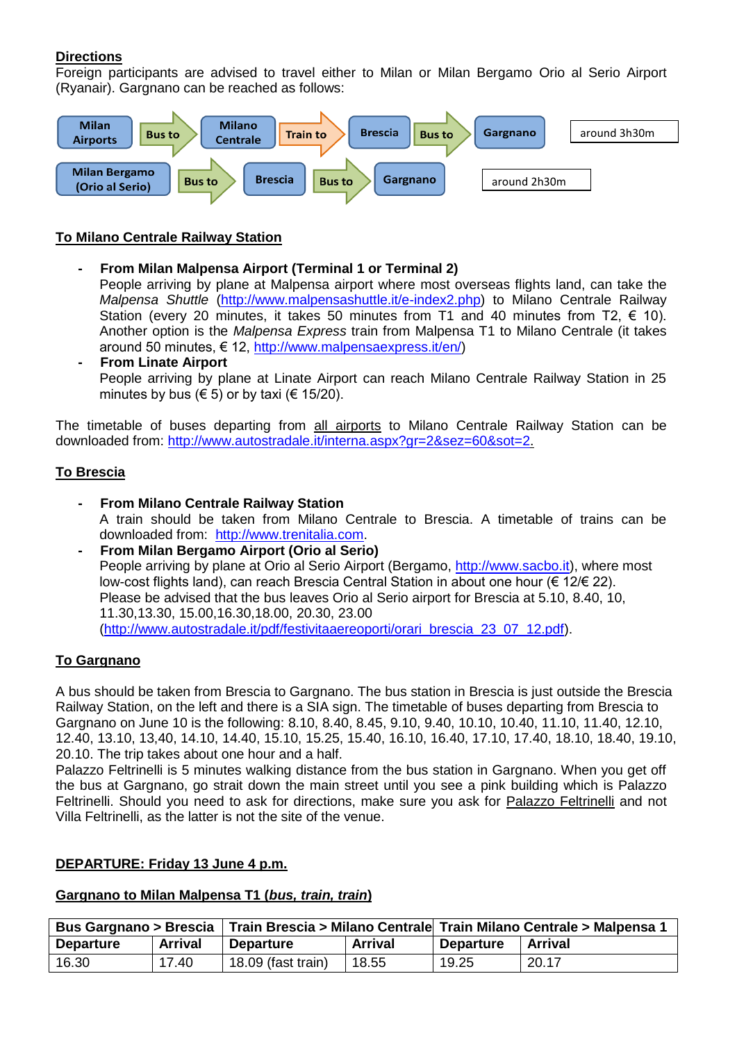#### **Directions**

Foreign participants are advised to travel either to Milan or Milan Bergamo Orio al Serio Airport (Ryanair). Gargnano can be reached as follows:



#### **To Milano Centrale Railway Station**

- **- From Milan Malpensa Airport (Terminal 1 or Terminal 2)**  People arriving by plane at Malpensa airport where most overseas flights land, can take the *Malpensa Shuttle* [\(http://www.malpensashuttle.it/e-index2.php\)](http://www.malpensashuttle.it/e-index2.php) to Milano Centrale Railway Station (every 20 minutes, it takes 50 minutes from T1 and 40 minutes from T2,  $\epsilon$  10). Another option is the *Malpensa Express* train from Malpensa T1 to Milano Centrale (it takes around 50 minutes, € 12, [http://www.malpensaexpress.it/en/\)](http://www.malpensaexpress.it/en/)
- **- From Linate Airport**  People arriving by plane at Linate Airport can reach Milano Centrale Railway Station in 25 minutes by bus ( $\in$  5) or by taxi ( $\in$  15/20).

The timetable of buses departing from all airports to Milano Centrale Railway Station can be downloaded from: [http://www.autostradale.it/interna.aspx?gr=2&sez=60&sot=2.](http://www.autostradale.it/interna.aspx?gr=2&sez=60&sot=2)

#### **To Brescia**

- **- From Milano Centrale Railway Station**  A train should be taken from Milano Centrale to Brescia. A timetable of trains can be downloaded from: [http://www.trenitalia.com.](http://www.trenitalia.com/)
- **- From Milan Bergamo Airport (Orio al Serio)**  People arriving by plane at Orio al Serio Airport (Bergamo, [http://www.sacbo.it\)](http://www.sacbo.it/), where most low-cost flights land), can reach Brescia Central Station in about one hour (€ 12/€ 22). Please be advised that the bus leaves Orio al Serio airport for Brescia at 5.10, 8.40, 10, 11.30,13.30, 15.00,16.30,18.00, 20.30, 23.00 [\(http://www.autostradale.it/pdf/festivitaaereoporti/orari\\_brescia\\_23\\_07\\_12.pdf\)](http://www.autostradale.it/pdf/festivitaaereoporti/orari_brescia_23_07_12.pdf).

#### **To Gargnano**

A bus should be taken from Brescia to Gargnano. The bus station in Brescia is just outside the Brescia Railway Station, on the left and there is a SIA sign. The timetable of buses departing from Brescia to Gargnano on June 10 is the following: 8.10, 8.40, 8.45, 9.10, 9.40, 10.10, 10.40, 11.10, 11.40, 12.10, 12.40, 13.10, 13,40, 14.10, 14.40, 15.10, 15.25, 15.40, 16.10, 16.40, 17.10, 17.40, 18.10, 18.40, 19.10, 20.10. The trip takes about one hour and a half.

Palazzo Feltrinelli is 5 minutes walking distance from the bus station in Gargnano. When you get off the bus at Gargnano, go strait down the main street until you see a pink building which is Palazzo Feltrinelli. Should you need to ask for directions, make sure you ask for Palazzo Feltrinelli and not Villa Feltrinelli, as the latter is not the site of the venue.

#### **DEPARTURE: Friday 13 June 4 p.m.**

#### **Gargnano to Milan Malpensa T1 (***bus, train, train***)**

| Bus Gargnano > Brescia |         | Train Brescia > Milano Centrale  Train Milano Centrale > Malpensa 1 |                |                  |                |
|------------------------|---------|---------------------------------------------------------------------|----------------|------------------|----------------|
| <b>Departure</b>       | Arrival | Departure                                                           | <b>Arrival</b> | <b>Departure</b> | <b>Arrival</b> |
| 16.30                  | 17.40   | $18.09$ (fast train)                                                | 18.55          | 19.25            | 20.17          |